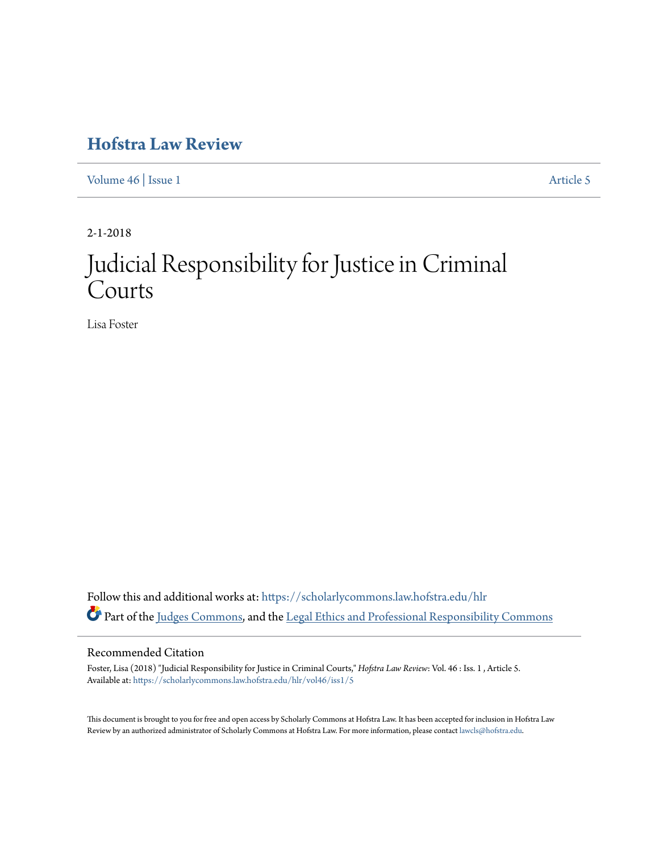## **[Hofstra Law Review](https://scholarlycommons.law.hofstra.edu/hlr?utm_source=scholarlycommons.law.hofstra.edu%2Fhlr%2Fvol46%2Fiss1%2F5&utm_medium=PDF&utm_campaign=PDFCoverPages)**

[Volume 46](https://scholarlycommons.law.hofstra.edu/hlr/vol46?utm_source=scholarlycommons.law.hofstra.edu%2Fhlr%2Fvol46%2Fiss1%2F5&utm_medium=PDF&utm_campaign=PDFCoverPages) | [Issue 1](https://scholarlycommons.law.hofstra.edu/hlr/vol46/iss1?utm_source=scholarlycommons.law.hofstra.edu%2Fhlr%2Fvol46%2Fiss1%2F5&utm_medium=PDF&utm_campaign=PDFCoverPages) [Article 5](https://scholarlycommons.law.hofstra.edu/hlr/vol46/iss1/5?utm_source=scholarlycommons.law.hofstra.edu%2Fhlr%2Fvol46%2Fiss1%2F5&utm_medium=PDF&utm_campaign=PDFCoverPages)

2-1-2018

# Judicial Responsibility for Justice in Criminal Courts

Lisa Foster

Follow this and additional works at: [https://scholarlycommons.law.hofstra.edu/hlr](https://scholarlycommons.law.hofstra.edu/hlr?utm_source=scholarlycommons.law.hofstra.edu%2Fhlr%2Fvol46%2Fiss1%2F5&utm_medium=PDF&utm_campaign=PDFCoverPages) Part of the [Judges Commons](http://network.bepress.com/hgg/discipline/849?utm_source=scholarlycommons.law.hofstra.edu%2Fhlr%2Fvol46%2Fiss1%2F5&utm_medium=PDF&utm_campaign=PDFCoverPages), and the [Legal Ethics and Professional Responsibility Commons](http://network.bepress.com/hgg/discipline/895?utm_source=scholarlycommons.law.hofstra.edu%2Fhlr%2Fvol46%2Fiss1%2F5&utm_medium=PDF&utm_campaign=PDFCoverPages)

### Recommended Citation

Foster, Lisa (2018) "Judicial Responsibility for Justice in Criminal Courts," *Hofstra Law Review*: Vol. 46 : Iss. 1 , Article 5. Available at: [https://scholarlycommons.law.hofstra.edu/hlr/vol46/iss1/5](https://scholarlycommons.law.hofstra.edu/hlr/vol46/iss1/5?utm_source=scholarlycommons.law.hofstra.edu%2Fhlr%2Fvol46%2Fiss1%2F5&utm_medium=PDF&utm_campaign=PDFCoverPages)

This document is brought to you for free and open access by Scholarly Commons at Hofstra Law. It has been accepted for inclusion in Hofstra Law Review by an authorized administrator of Scholarly Commons at Hofstra Law. For more information, please contact [lawcls@hofstra.edu](mailto:lawcls@hofstra.edu).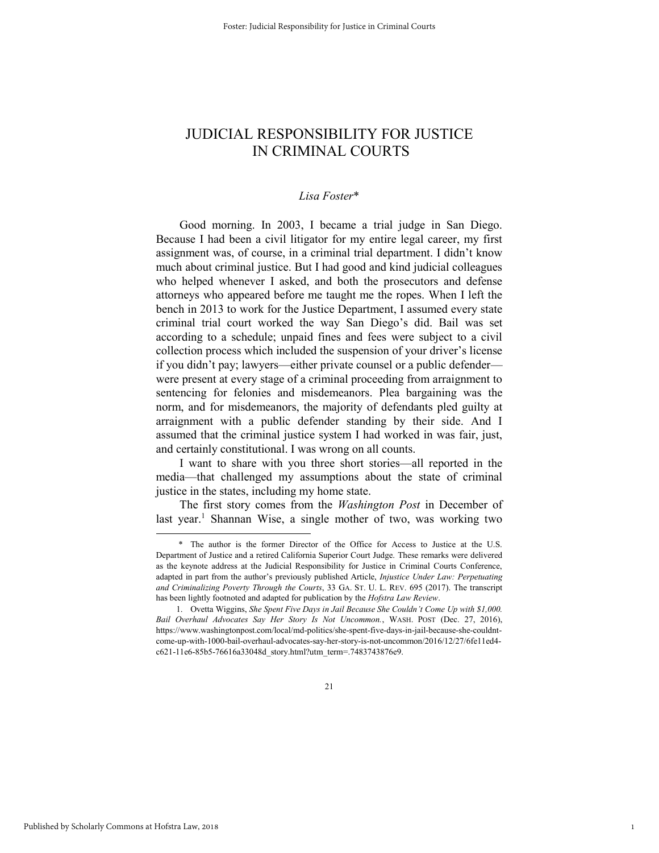## JUDICIAL RESPONSIBILITY FOR JUSTICE IN CRIMINAL COURTS

#### *Lisa Foster*\*

Good morning. In 2003, I became a trial judge in San Diego. Because I had been a civil litigator for my entire legal career, my first assignment was, of course, in a criminal trial department. I didn't know much about criminal justice. But I had good and kind judicial colleagues who helped whenever I asked, and both the prosecutors and defense attorneys who appeared before me taught me the ropes. When I left the bench in 2013 to work for the Justice Department, I assumed every state criminal trial court worked the way San Diego's did. Bail was set according to a schedule; unpaid fines and fees were subject to a civil collection process which included the suspension of your driver's license if you didn't pay; lawyers—either private counsel or a public defender were present at every stage of a criminal proceeding from arraignment to sentencing for felonies and misdemeanors. Plea bargaining was the norm, and for misdemeanors, the majority of defendants pled guilty at arraignment with a public defender standing by their side. And I assumed that the criminal justice system I had worked in was fair, just, and certainly constitutional. I was wrong on all counts.

I want to share with you three short stories—all reported in the media—that challenged my assumptions about the state of criminal justice in the states, including my home state.

The first story comes from the *Washington Post* in December of last year.<sup>1</sup> Shannan Wise, a single mother of two, was working two

1

 <sup>\*</sup> The author is the former Director of the Office for Access to Justice at the U.S. Department of Justice and a retired California Superior Court Judge. These remarks were delivered as the keynote address at the Judicial Responsibility for Justice in Criminal Courts Conference, adapted in part from the author's previously published Article, *Injustice Under Law: Perpetuating and Criminalizing Poverty Through the Courts*, 33 GA. ST. U. L. REV. 695 (2017). The transcript has been lightly footnoted and adapted for publication by the *Hofstra Law Review*.

<sup>1.</sup> Ovetta Wiggins, *She Spent Five Days in Jail Because She Couldn't Come Up with \$1,000. Bail Overhaul Advocates Say Her Story Is Not Uncommon.*, WASH. POST (Dec. 27, 2016), https://www.washingtonpost.com/local/md-politics/she-spent-five-days-in-jail-because-she-couldntcome-up-with-1000-bail-overhaul-advocates-say-her-story-is-not-uncommon/2016/12/27/6fe11ed4 c621-11e6-85b5-76616a33048d\_story.html?utm\_term=.7483743876e9.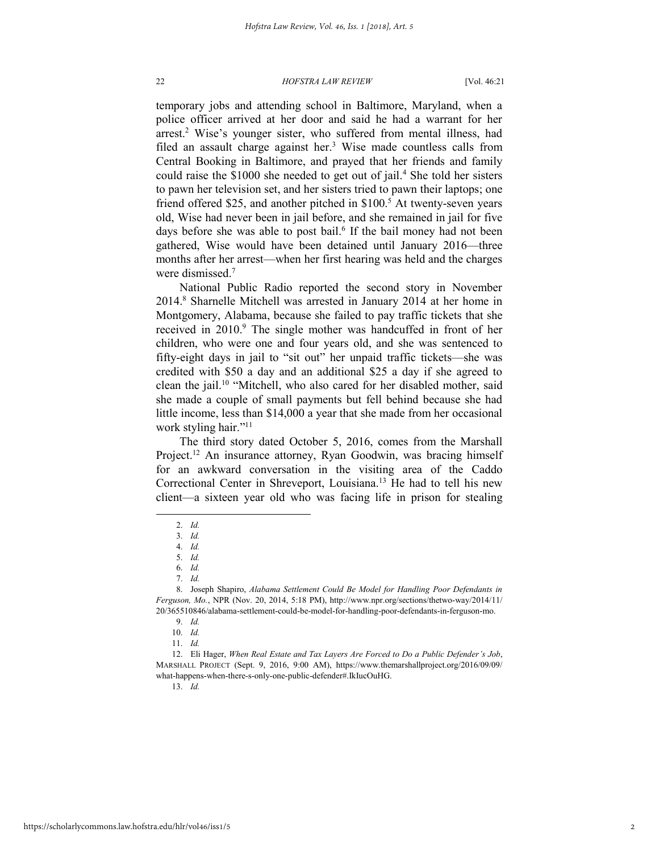temporary jobs and attending school in Baltimore, Maryland, when a police officer arrived at her door and said he had a warrant for her arrest.<sup>2</sup> Wise's younger sister, who suffered from mental illness, had filed an assault charge against her.<sup>3</sup> Wise made countless calls from Central Booking in Baltimore, and prayed that her friends and family could raise the \$1000 she needed to get out of jail.<sup>4</sup> She told her sisters to pawn her television set, and her sisters tried to pawn their laptops; one friend offered \$25, and another pitched in \$100.<sup>5</sup> At twenty-seven years old, Wise had never been in jail before, and she remained in jail for five days before she was able to post bail.<sup>6</sup> If the bail money had not been gathered, Wise would have been detained until January 2016—three months after her arrest—when her first hearing was held and the charges were dismissed.<sup>7</sup>

National Public Radio reported the second story in November 2014.<sup>8</sup> Sharnelle Mitchell was arrested in January 2014 at her home in Montgomery, Alabama, because she failed to pay traffic tickets that she received in 2010.<sup>9</sup> The single mother was handcuffed in front of her children, who were one and four years old, and she was sentenced to fifty-eight days in jail to "sit out" her unpaid traffic tickets—she was credited with \$50 a day and an additional \$25 a day if she agreed to clean the jail.<sup>10</sup> "Mitchell, who also cared for her disabled mother, said she made a couple of small payments but fell behind because she had little income, less than \$14,000 a year that she made from her occasional work styling hair."<sup>11</sup>

The third story dated October 5, 2016, comes from the Marshall Project.<sup>12</sup> An insurance attorney, Ryan Goodwin, was bracing himself for an awkward conversation in the visiting area of the Caddo Correctional Center in Shreveport, Louisiana.<sup>13</sup> He had to tell his new client—a sixteen year old who was facing life in prison for stealing

l

13. *Id.* 

<sup>2.</sup> *Id.*

<sup>3.</sup> *Id.*

<sup>4.</sup> *Id.* 

<sup>5.</sup> *Id.*

<sup>6.</sup> *Id.*

<sup>7.</sup> *Id.*

<sup>8.</sup> Joseph Shapiro, *Alabama Settlement Could Be Model for Handling Poor Defendants in Ferguson, Mo.*, NPR (Nov. 20, 2014, 5:18 PM), http://www.npr.org/sections/thetwo-way/2014/11/ 20/365510846/alabama-settlement-could-be-model-for-handling-poor-defendants-in-ferguson-mo.

<sup>9.</sup> *Id.*

<sup>10.</sup> *Id.* 

<sup>11.</sup> *Id.*

<sup>12.</sup> Eli Hager, *When Real Estate and Tax Layers Are Forced to Do a Public Defender's Job*, MARSHALL PROJECT (Sept. 9, 2016, 9:00 AM), https://www.themarshallproject.org/2016/09/09/ what-happens-when-there-s-only-one-public-defender#.IkIucOuHG.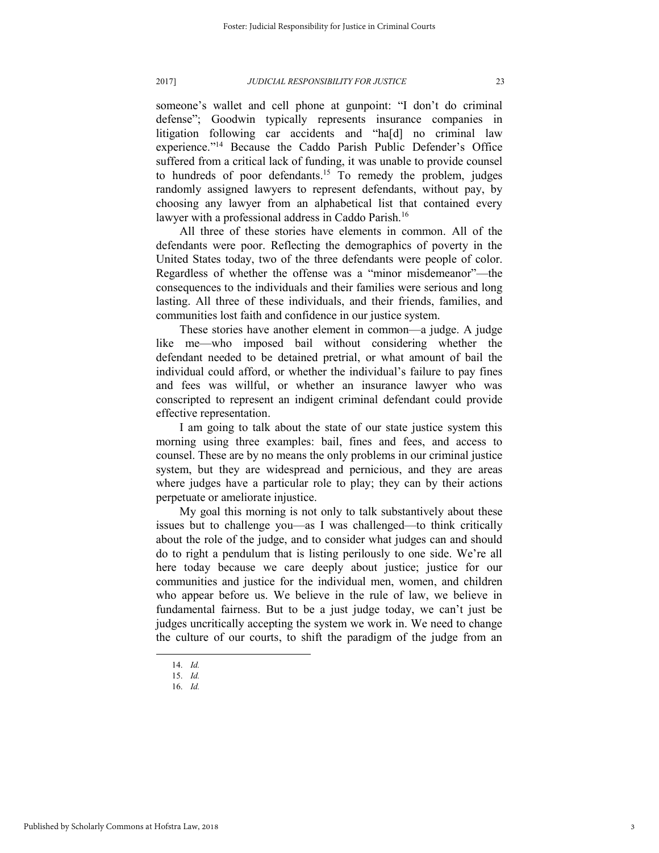someone's wallet and cell phone at gunpoint: "I don't do criminal defense"; Goodwin typically represents insurance companies in litigation following car accidents and "ha[d] no criminal law experience."<sup>14</sup> Because the Caddo Parish Public Defender's Office suffered from a critical lack of funding, it was unable to provide counsel to hundreds of poor defendants.<sup>15</sup> To remedy the problem, judges randomly assigned lawyers to represent defendants, without pay, by choosing any lawyer from an alphabetical list that contained every lawyer with a professional address in Caddo Parish.<sup>16</sup>

All three of these stories have elements in common. All of the defendants were poor. Reflecting the demographics of poverty in the United States today, two of the three defendants were people of color. Regardless of whether the offense was a "minor misdemeanor"—the consequences to the individuals and their families were serious and long lasting. All three of these individuals, and their friends, families, and communities lost faith and confidence in our justice system.

These stories have another element in common—a judge. A judge like me—who imposed bail without considering whether the defendant needed to be detained pretrial, or what amount of bail the individual could afford, or whether the individual's failure to pay fines and fees was willful, or whether an insurance lawyer who was conscripted to represent an indigent criminal defendant could provide effective representation.

I am going to talk about the state of our state justice system this morning using three examples: bail, fines and fees, and access to counsel. These are by no means the only problems in our criminal justice system, but they are widespread and pernicious, and they are areas where judges have a particular role to play; they can by their actions perpetuate or ameliorate injustice.

My goal this morning is not only to talk substantively about these issues but to challenge you—as I was challenged—to think critically about the role of the judge, and to consider what judges can and should do to right a pendulum that is listing perilously to one side. We're all here today because we care deeply about justice; justice for our communities and justice for the individual men, women, and children who appear before us. We believe in the rule of law, we believe in fundamental fairness. But to be a just judge today, we can't just be judges uncritically accepting the system we work in. We need to change the culture of our courts, to shift the paradigm of the judge from an

<sup>14.</sup> *Id.*

<sup>15.</sup> *Id.*

<sup>16.</sup> *Id.*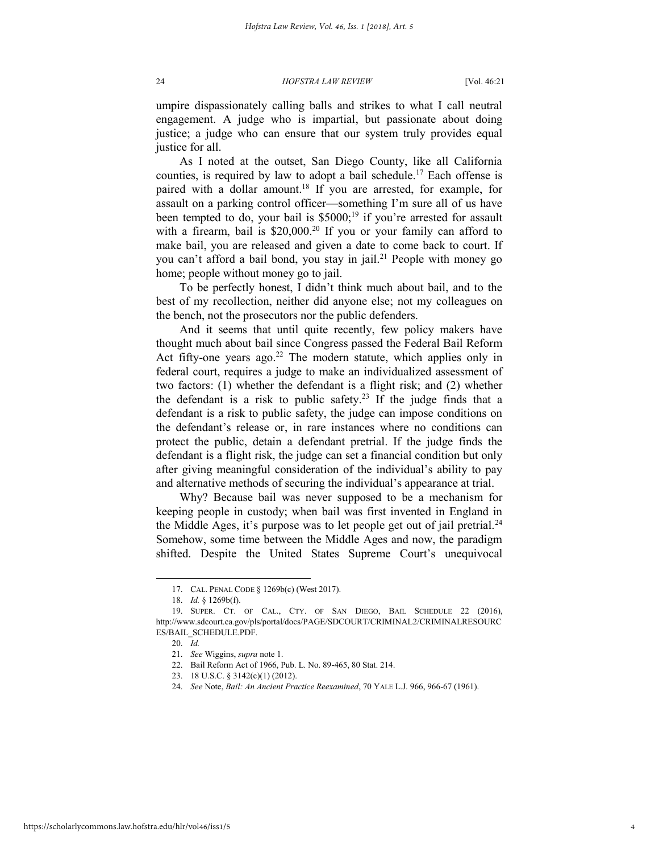umpire dispassionately calling balls and strikes to what I call neutral engagement. A judge who is impartial, but passionate about doing justice; a judge who can ensure that our system truly provides equal justice for all.

As I noted at the outset, San Diego County, like all California counties, is required by law to adopt a bail schedule.<sup>17</sup> Each offense is paired with a dollar amount.<sup>18</sup> If you are arrested, for example, for assault on a parking control officer—something I'm sure all of us have been tempted to do, your bail is  $$5000;^{19}$  if you're arrested for assault with a firearm, bail is \$20,000.<sup>20</sup> If you or your family can afford to make bail, you are released and given a date to come back to court. If you can't afford a bail bond, you stay in jail.<sup>21</sup> People with money go home; people without money go to jail.

To be perfectly honest, I didn't think much about bail, and to the best of my recollection, neither did anyone else; not my colleagues on the bench, not the prosecutors nor the public defenders.

And it seems that until quite recently, few policy makers have thought much about bail since Congress passed the Federal Bail Reform Act fifty-one years ago.<sup>22</sup> The modern statute, which applies only in federal court, requires a judge to make an individualized assessment of two factors: (1) whether the defendant is a flight risk; and (2) whether the defendant is a risk to public safety.<sup>23</sup> If the judge finds that a defendant is a risk to public safety, the judge can impose conditions on the defendant's release or, in rare instances where no conditions can protect the public, detain a defendant pretrial. If the judge finds the defendant is a flight risk, the judge can set a financial condition but only after giving meaningful consideration of the individual's ability to pay and alternative methods of securing the individual's appearance at trial.

Why? Because bail was never supposed to be a mechanism for keeping people in custody; when bail was first invented in England in the Middle Ages, it's purpose was to let people get out of jail pretrial.<sup>24</sup> Somehow, some time between the Middle Ages and now, the paradigm shifted. Despite the United States Supreme Court's unequivocal

<sup>17.</sup> CAL. PENAL CODE § 1269b(c) (West 2017).

<sup>18.</sup> *Id.* § 1269b(f).

<sup>19.</sup> SUPER. CT. OF CAL., CTY. OF SAN DIEGO, BAIL SCHEDULE 22 (2016), http://www.sdcourt.ca.gov/pls/portal/docs/PAGE/SDCOURT/CRIMINAL2/CRIMINALRESOURC ES/BAIL\_SCHEDULE.PDF.

<sup>20.</sup> *Id.*

<sup>21.</sup> *See* Wiggins, *supra* note 1.

<sup>22.</sup> Bail Reform Act of 1966, Pub. L. No. 89-465, 80 Stat. 214.

<sup>23. 18</sup> U.S.C. § 3142(c)(1) (2012).

<sup>24.</sup> *See* Note, *Bail: An Ancient Practice Reexamined*, 70 YALE L.J. 966, 966-67 (1961).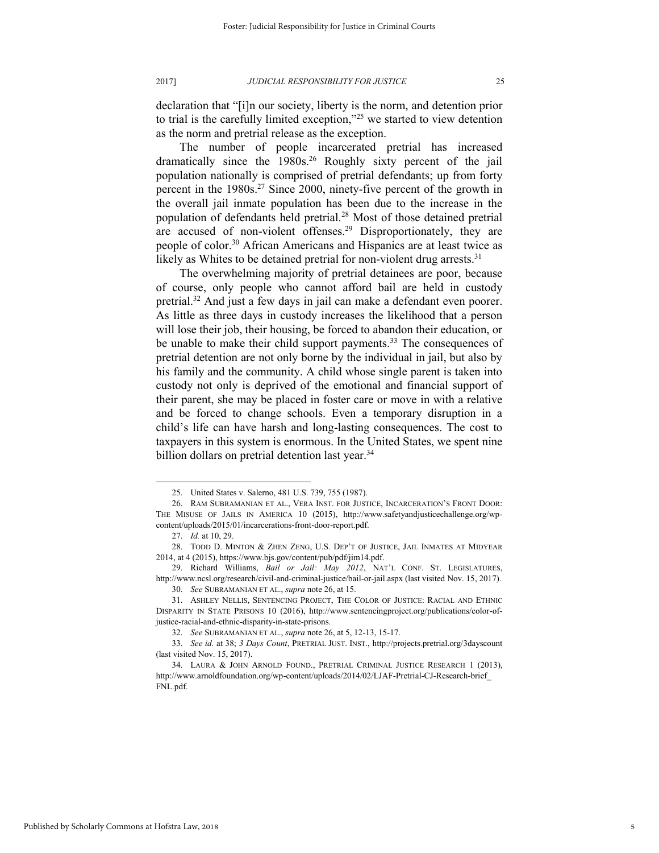declaration that "[i]n our society, liberty is the norm, and detention prior to trial is the carefully limited exception,"<sup>25</sup> we started to view detention as the norm and pretrial release as the exception.

The number of people incarcerated pretrial has increased dramatically since the 1980s.<sup>26</sup> Roughly sixty percent of the jail population nationally is comprised of pretrial defendants; up from forty percent in the 1980s.<sup>27</sup> Since 2000, ninety-five percent of the growth in the overall jail inmate population has been due to the increase in the population of defendants held pretrial.<sup>28</sup> Most of those detained pretrial are accused of non-violent offenses.<sup>29</sup> Disproportionately, they are people of color.<sup>30</sup> African Americans and Hispanics are at least twice as likely as Whites to be detained pretrial for non-violent drug arrests. $31$ 

The overwhelming majority of pretrial detainees are poor, because of course, only people who cannot afford bail are held in custody pretrial.<sup>32</sup> And just a few days in jail can make a defendant even poorer. As little as three days in custody increases the likelihood that a person will lose their job, their housing, be forced to abandon their education, or be unable to make their child support payments.<sup>33</sup> The consequences of pretrial detention are not only borne by the individual in jail, but also by his family and the community. A child whose single parent is taken into custody not only is deprived of the emotional and financial support of their parent, she may be placed in foster care or move in with a relative and be forced to change schools. Even a temporary disruption in a child's life can have harsh and long-lasting consequences. The cost to taxpayers in this system is enormous. In the United States, we spent nine billion dollars on pretrial detention last year.<sup>34</sup>

<sup>25.</sup> United States v. Salerno, 481 U.S. 739, 755 (1987).

<sup>26.</sup> RAM SUBRAMANIAN ET AL., VERA INST. FOR JUSTICE, INCARCERATION'S FRONT DOOR: THE MISUSE OF JAILS IN AMERICA 10 (2015), http://www.safetyandjusticechallenge.org/wpcontent/uploads/2015/01/incarcerations-front-door-report.pdf.

<sup>27.</sup> *Id.* at 10, 29.

<sup>28.</sup> TODD D. MINTON & ZHEN ZENG, U.S. DEP'T OF JUSTICE, JAIL INMATES AT MIDYEAR 2014, at 4 (2015), https://www.bjs.gov/content/pub/pdf/jim14.pdf.

<sup>29.</sup> Richard Williams, *Bail or Jail: May 2012*, NAT'L CONF. ST. LEGISLATURES, http://www.ncsl.org/research/civil-and-criminal-justice/bail-or-jail.aspx (last visited Nov. 15, 2017).

<sup>30.</sup> *See* SUBRAMANIAN ET AL., *supra* note 26, at 15.

<sup>31.</sup> ASHLEY NELLIS, SENTENCING PROJECT, THE COLOR OF JUSTICE: RACIAL AND ETHNIC DISPARITY IN STATE PRISONS 10 (2016), http://www.sentencingproject.org/publications/color-ofjustice-racial-and-ethnic-disparity-in-state-prisons.

<sup>32.</sup> *See* SUBRAMANIAN ET AL., *supra* note 26, at 5, 12-13, 15-17.

<sup>33.</sup> *See id.* at 38; *3 Days Count*, PRETRIAL JUST. INST., http://projects.pretrial.org/3dayscount (last visited Nov. 15, 2017).

<sup>34.</sup> LAURA & JOHN ARNOLD FOUND., PRETRIAL CRIMINAL JUSTICE RESEARCH 1 (2013), http://www.arnoldfoundation.org/wp-content/uploads/2014/02/LJAF-Pretrial-CJ-Research-brief\_ FNL.pdf.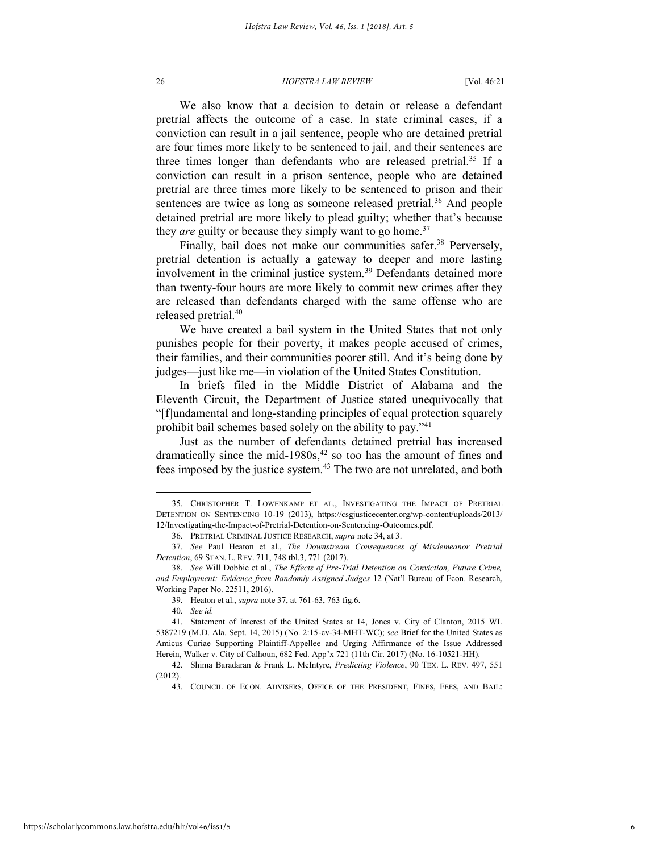We also know that a decision to detain or release a defendant pretrial affects the outcome of a case. In state criminal cases, if a conviction can result in a jail sentence, people who are detained pretrial are four times more likely to be sentenced to jail, and their sentences are three times longer than defendants who are released pretrial.<sup>35</sup> If a conviction can result in a prison sentence, people who are detained pretrial are three times more likely to be sentenced to prison and their sentences are twice as long as someone released pretrial.<sup>36</sup> And people detained pretrial are more likely to plead guilty; whether that's because they *are* guilty or because they simply want to go home.<sup>37</sup>

Finally, bail does not make our communities safer.<sup>38</sup> Perversely, pretrial detention is actually a gateway to deeper and more lasting involvement in the criminal justice system.<sup>39</sup> Defendants detained more than twenty-four hours are more likely to commit new crimes after they are released than defendants charged with the same offense who are released pretrial.<sup>40</sup>

We have created a bail system in the United States that not only punishes people for their poverty, it makes people accused of crimes, their families, and their communities poorer still. And it's being done by judges—just like me—in violation of the United States Constitution.

In briefs filed in the Middle District of Alabama and the Eleventh Circuit, the Department of Justice stated unequivocally that "[f]undamental and long-standing principles of equal protection squarely prohibit bail schemes based solely on the ability to pay."<sup>41</sup>

Just as the number of defendants detained pretrial has increased dramatically since the mid-1980s,<sup>42</sup> so too has the amount of fines and fees imposed by the justice system.<sup>43</sup> The two are not unrelated, and both

<sup>35.</sup> CHRISTOPHER T. LOWENKAMP ET AL., INVESTIGATING THE IMPACT OF PRETRIAL DETENTION ON SENTENCING 10-19 (2013), https://csgjusticecenter.org/wp-content/uploads/2013/ 12/Investigating-the-Impact-of-Pretrial-Detention-on-Sentencing-Outcomes.pdf.

<sup>36.</sup> PRETRIAL CRIMINAL JUSTICE RESEARCH, *supra* note 34, at 3.

<sup>37.</sup> *See* Paul Heaton et al., *The Downstream Consequences of Misdemeanor Pretrial Detention*, 69 STAN. L. REV. 711, 748 tbl.3, 771 (2017).

<sup>38.</sup> *See* Will Dobbie et al., *The Effects of Pre-Trial Detention on Conviction, Future Crime, and Employment: Evidence from Randomly Assigned Judges* 12 (Nat'l Bureau of Econ. Research, Working Paper No. 22511, 2016).

<sup>39.</sup> Heaton et al., *supra* note 37, at 761-63, 763 fig.6.

<sup>40.</sup> *See id.*

<sup>41.</sup> Statement of Interest of the United States at 14, Jones v. City of Clanton, 2015 WL 5387219 (M.D. Ala. Sept. 14, 2015) (No. 2:15-cv-34-MHT-WC); *see* Brief for the United States as Amicus Curiae Supporting Plaintiff-Appellee and Urging Affirmance of the Issue Addressed Herein, Walker v. City of Calhoun, 682 Fed. App'x 721 (11th Cir. 2017) (No. 16-10521-HH).

<sup>42.</sup> Shima Baradaran & Frank L. McIntyre, *Predicting Violence*, 90 TEX. L. REV. 497, 551 (2012).

<sup>43.</sup> COUNCIL OF ECON. ADVISERS, OFFICE OF THE PRESIDENT, FINES, FEES, AND BAIL: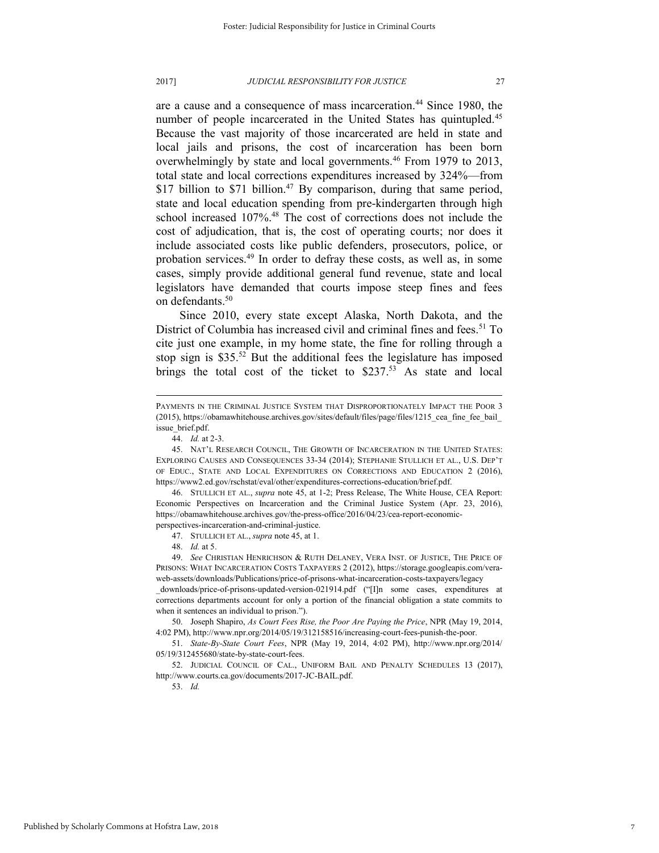#### 2017] *JUDICIAL RESPONSIBILITY FOR JUSTICE* 27

are a cause and a consequence of mass incarceration.<sup>44</sup> Since 1980, the number of people incarcerated in the United States has quintupled.<sup>45</sup> Because the vast majority of those incarcerated are held in state and local jails and prisons, the cost of incarceration has been born overwhelmingly by state and local governments.<sup>46</sup> From 1979 to 2013, total state and local corrections expenditures increased by 324%—from \$17 billion to \$71 billion.<sup>47</sup> By comparison, during that same period, state and local education spending from pre-kindergarten through high school increased 107%.<sup>48</sup> The cost of corrections does not include the cost of adjudication, that is, the cost of operating courts; nor does it include associated costs like public defenders, prosecutors, police, or probation services.<sup>49</sup> In order to defray these costs, as well as, in some cases, simply provide additional general fund revenue, state and local legislators have demanded that courts impose steep fines and fees on defendants.<sup>50</sup>

Since 2010, every state except Alaska, North Dakota, and the District of Columbia has increased civil and criminal fines and fees.<sup>51</sup> To cite just one example, in my home state, the fine for rolling through a stop sign is  $$35<sup>52</sup>$  But the additional fees the legislature has imposed brings the total cost of the ticket to \$237.<sup>53</sup> As state and local

l

46. STULLICH ET AL., *supra* note 45, at 1-2; Press Release, The White House, CEA Report: Economic Perspectives on Incarceration and the Criminal Justice System (Apr. 23, 2016), https://obamawhitehouse.archives.gov/the-press-office/2016/04/23/cea-report-economicperspectives-incarceration-and-criminal-justice.

47. STULLICH ET AL., *supra* note 45, at 1.

48. *Id.* at 5.

49. *See* CHRISTIAN HENRICHSON & RUTH DELANEY, VERA INST. OF JUSTICE, THE PRICE OF PRISONS: WHAT INCARCERATION COSTS TAXPAYERS 2 (2012), https://storage.googleapis.com/veraweb-assets/downloads/Publications/price-of-prisons-what-incarceration-costs-taxpayers/legacy

\_downloads/price-of-prisons-updated-version-021914.pdf ("[I]n some cases, expenditures at corrections departments account for only a portion of the financial obligation a state commits to when it sentences an individual to prison.").

50. Joseph Shapiro, *As Court Fees Rise, the Poor Are Paying the Price*, NPR (May 19, 2014, 4:02 PM), http://www.npr.org/2014/05/19/312158516/increasing-court-fees-punish-the-poor.

51. *State-By-State Court Fees*, NPR (May 19, 2014, 4:02 PM), http://www.npr.org/2014/ 05/19/312455680/state-by-state-court-fees.

52. JUDICIAL COUNCIL OF CAL., UNIFORM BAIL AND PENALTY SCHEDULES 13 (2017), http://www.courts.ca.gov/documents/2017-JC-BAIL.pdf.

53. *Id.*

PAYMENTS IN THE CRIMINAL JUSTICE SYSTEM THAT DISPROPORTIONATELY IMPACT THE POOR 3 (2015), https://obamawhitehouse.archives.gov/sites/default/files/page/files/1215\_cea\_fine\_fee\_bail\_ issue brief.pdf.

<sup>44.</sup> *Id.* at 2-3.

<sup>45.</sup> NAT'L RESEARCH COUNCIL, THE GROWTH OF INCARCERATION IN THE UNITED STATES: EXPLORING CAUSES AND CONSEQUENCES 33-34 (2014); STEPHANIE STULLICH ET AL., U.S. DEP'T OF EDUC., STATE AND LOCAL EXPENDITURES ON CORRECTIONS AND EDUCATION 2 (2016), https://www2.ed.gov/rschstat/eval/other/expenditures-corrections-education/brief.pdf.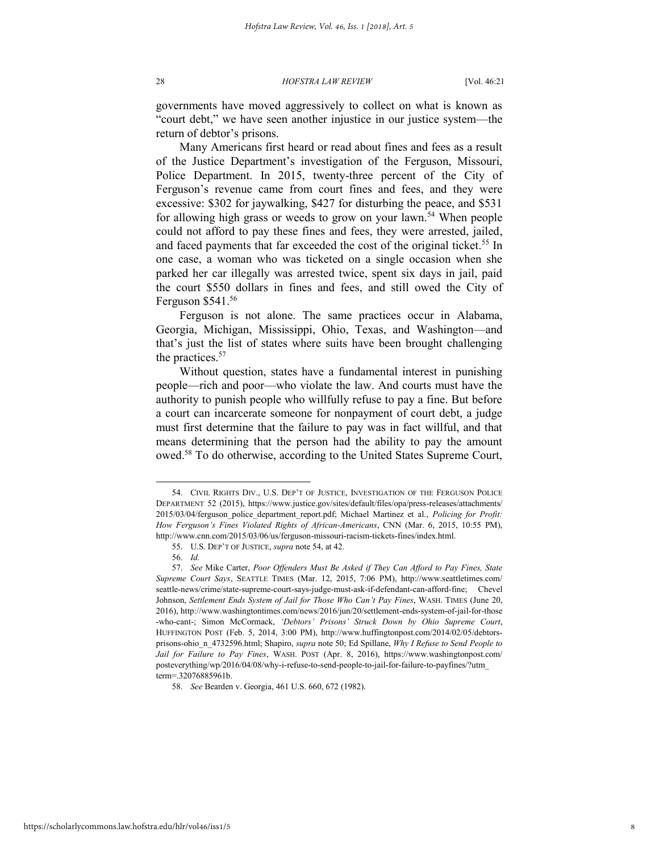governments have moved aggressively to collect on what is known as "court debt," we have seen another injustice in our justice system—the return of debtor's prisons.

Many Americans first heard or read about fines and fees as a result of the Justice Department's investigation of the Ferguson, Missouri, Police Department. In 2015, twenty-three percent of the City of Ferguson's revenue came from court fines and fees, and they were excessive: \$302 for jaywalking, \$427 for disturbing the peace, and \$531 for allowing high grass or weeds to grow on your lawn.<sup>54</sup> When people could not afford to pay these fines and fees, they were arrested, jailed, and faced payments that far exceeded the cost of the original ticket.<sup>55</sup> In one case, a woman who was ticketed on a single occasion when she parked her car illegally was arrested twice, spent six days in jail, paid the court \$550 dollars in fines and fees, and still owed the City of Ferguson \$541.<sup>56</sup>

Ferguson is not alone. The same practices occur in Alabama, Georgia, Michigan, Mississippi, Ohio, Texas, and Washington—and that's just the list of states where suits have been brought challenging the practices.<sup>57</sup>

Without question, states have a fundamental interest in punishing people—rich and poor—who violate the law. And courts must have the authority to punish people who willfully refuse to pay a fine. But before a court can incarcerate someone for nonpayment of court debt, a judge must first determine that the failure to pay was in fact willful, and that means determining that the person had the ability to pay the amount owed.<sup>58</sup> To do otherwise, according to the United States Supreme Court,

<sup>54.</sup> CIVIL RIGHTS DIV., U.S. DEP'T OF JUSTICE, INVESTIGATION OF THE FERGUSON POLICE DEPARTMENT 52 (2015), https://www.justice.gov/sites/default/files/opa/press-releases/attachments/ 2015/03/04/ferguson\_police\_department\_report.pdf; Michael Martinez et al., *Policing for Profit: How Ferguson's Fines Violated Rights of African-Americans*, CNN (Mar. 6, 2015, 10:55 PM), http://www.cnn.com/2015/03/06/us/ferguson-missouri-racism-tickets-fines/index.html.

<sup>55.</sup> U.S. DEP'T OF JUSTICE, *supra* note 54, at 42.

<sup>56.</sup> *Id.*

<sup>57.</sup> *See* Mike Carter, *Poor Offenders Must Be Asked if They Can Afford to Pay Fines, State Supreme Court Says*, SEATTLE TIMES (Mar. 12, 2015, 7:06 PM), http://www.seattletimes.com/ seattle-news/crime/state-supreme-court-says-judge-must-ask-if-defendant-can-afford-fine; Chevel Johnson, *Settlement Ends System of Jail for Those Who Can't Pay Fines*, WASH. TIMES (June 20, 2016), http://www.washingtontimes.com/news/2016/jun/20/settlement-ends-system-of-jail-for-those -who-cant-; Simon McCormack, *'Debtors' Prisons' Struck Down by Ohio Supreme Court*, HUFFINGTON POST (Feb. 5, 2014, 3:00 PM), http://www.huffingtonpost.com/2014/02/05/debtorsprisons-ohio\_n\_4732596.html; Shapiro, *supra* note 50; Ed Spillane, *Why I Refuse to Send People to Jail for Failure to Pay Fines*, WASH. POST (Apr. 8, 2016), https://www.washingtonpost.com/ posteverything/wp/2016/04/08/why-i-refuse-to-send-people-to-jail-for-failure-to-payfines/?utm\_ term=.32076885961b.

<sup>58.</sup> *See* Bearden v. Georgia, 461 U.S. 660, 672 (1982).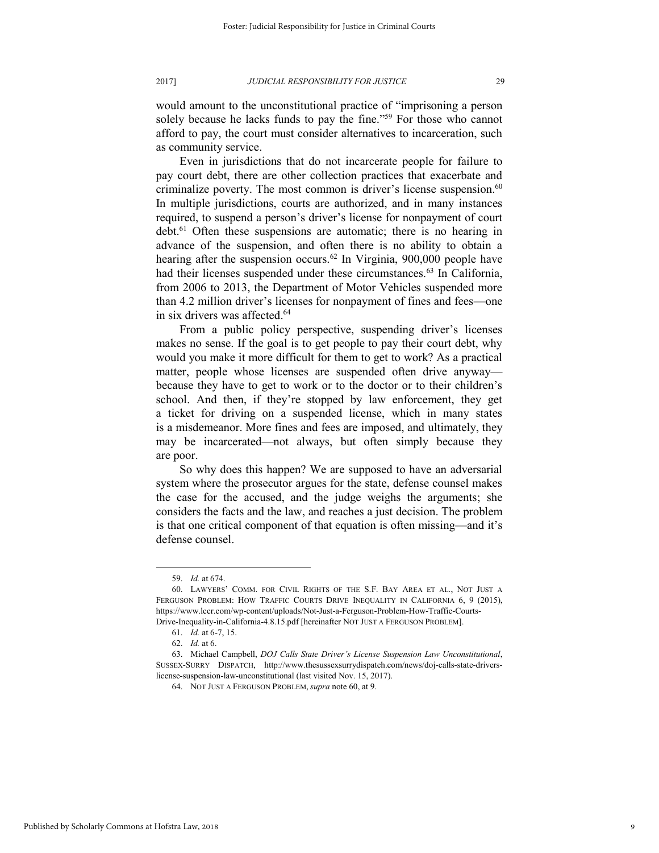would amount to the unconstitutional practice of "imprisoning a person solely because he lacks funds to pay the fine."<sup>59</sup> For those who cannot afford to pay, the court must consider alternatives to incarceration, such as community service.

Even in jurisdictions that do not incarcerate people for failure to pay court debt, there are other collection practices that exacerbate and criminalize poverty. The most common is driver's license suspension. 60 In multiple jurisdictions, courts are authorized, and in many instances required, to suspend a person's driver's license for nonpayment of court debt.<sup>61</sup> Often these suspensions are automatic; there is no hearing in advance of the suspension, and often there is no ability to obtain a hearing after the suspension occurs.<sup>62</sup> In Virginia, 900,000 people have had their licenses suspended under these circumstances.<sup>63</sup> In California, from 2006 to 2013, the Department of Motor Vehicles suspended more than 4.2 million driver's licenses for nonpayment of fines and fees—one in six drivers was affected.<sup>64</sup>

From a public policy perspective, suspending driver's licenses makes no sense. If the goal is to get people to pay their court debt, why would you make it more difficult for them to get to work? As a practical matter, people whose licenses are suspended often drive anyway because they have to get to work or to the doctor or to their children's school. And then, if they're stopped by law enforcement, they get a ticket for driving on a suspended license, which in many states is a misdemeanor. More fines and fees are imposed, and ultimately, they may be incarcerated—not always, but often simply because they are poor.

So why does this happen? We are supposed to have an adversarial system where the prosecutor argues for the state, defense counsel makes the case for the accused, and the judge weighs the arguments; she considers the facts and the law, and reaches a just decision. The problem is that one critical component of that equation is often missing—and it's defense counsel.

<sup>59.</sup> *Id.* at 674.

<sup>60.</sup> LAWYERS' COMM. FOR CIVIL RIGHTS OF THE S.F. BAY AREA ET AL., NOT JUST A FERGUSON PROBLEM: HOW TRAFFIC COURTS DRIVE INEQUALITY IN CALIFORNIA 6, 9 (2015), https://www.lccr.com/wp-content/uploads/Not-Just-a-Ferguson-Problem-How-Traffic-Courts-Drive-Inequality-in-California-4.8.15.pdf [hereinafter NOT JUST A FERGUSON PROBLEM].

<sup>61.</sup> *Id.* at 6-7, 15.

<sup>62.</sup> *Id.* at 6.

<sup>63.</sup> Michael Campbell, *DOJ Calls State Driver's License Suspension Law Unconstitutional*, SUSSEX-SURRY DISPATCH, http://www.thesussexsurrydispatch.com/news/doj-calls-state-driverslicense-suspension-law-unconstitutional (last visited Nov. 15, 2017).

<sup>64.</sup> NOT JUST A FERGUSON PROBLEM, *supra* note 60, at 9.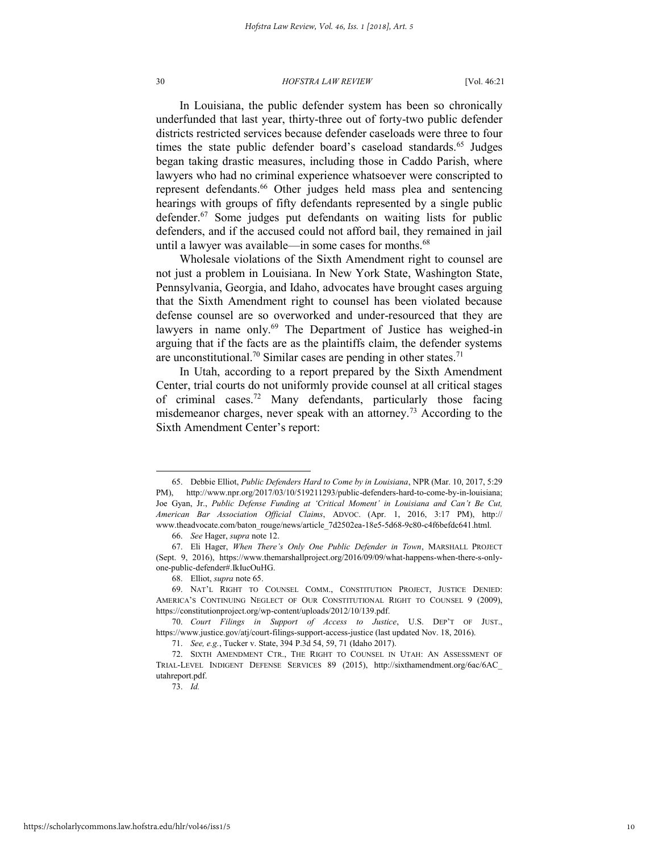In Louisiana, the public defender system has been so chronically underfunded that last year, thirty-three out of forty-two public defender districts restricted services because defender caseloads were three to four times the state public defender board's caseload standards.<sup>65</sup> Judges began taking drastic measures, including those in Caddo Parish, where lawyers who had no criminal experience whatsoever were conscripted to represent defendants.<sup>66</sup> Other judges held mass plea and sentencing hearings with groups of fifty defendants represented by a single public defender.<sup>67</sup> Some judges put defendants on waiting lists for public defenders, and if the accused could not afford bail, they remained in jail until a lawyer was available—in some cases for months.<sup>68</sup>

Wholesale violations of the Sixth Amendment right to counsel are not just a problem in Louisiana. In New York State, Washington State, Pennsylvania, Georgia, and Idaho, advocates have brought cases arguing that the Sixth Amendment right to counsel has been violated because defense counsel are so overworked and under-resourced that they are lawyers in name only.<sup>69</sup> The Department of Justice has weighed-in arguing that if the facts are as the plaintiffs claim, the defender systems are unconstitutional.<sup>70</sup> Similar cases are pending in other states.<sup>71</sup>

In Utah, according to a report prepared by the Sixth Amendment Center, trial courts do not uniformly provide counsel at all critical stages of criminal cases.<sup>72</sup> Many defendants, particularly those facing misdemeanor charges, never speak with an attorney.<sup>73</sup> According to the Sixth Amendment Center's report:

73. *Id.*

<sup>65.</sup> Debbie Elliot, *Public Defenders Hard to Come by in Louisiana*, NPR (Mar. 10, 2017, 5:29 PM), http://www.npr.org/2017/03/10/519211293/public-defenders-hard-to-come-by-in-louisiana; Joe Gyan, Jr., *Public Defense Funding at 'Critical Moment' in Louisiana and Can't Be Cut, American Bar Association Official Claims*, ADVOC. (Apr. 1, 2016, 3:17 PM), http:// www.theadvocate.com/baton\_rouge/news/article\_7d2502ea-18e5-5d68-9c80-c4f6befdc641.html.

<sup>66.</sup> *See* Hager, *supra* note 12.

<sup>67.</sup> Eli Hager, *When There's Only One Public Defender in Town*, MARSHALL PROJECT (Sept. 9, 2016), https://www.themarshallproject.org/2016/09/09/what-happens-when-there-s-onlyone-public-defender#.IkIucOuHG.

<sup>68.</sup> Elliot, *supra* note 65.

<sup>69.</sup> NAT'L RIGHT TO COUNSEL COMM., CONSTITUTION PROJECT, JUSTICE DENIED: AMERICA'S CONTINUING NEGLECT OF OUR CONSTITUTIONAL RIGHT TO COUNSEL 9 (2009), https://constitutionproject.org/wp-content/uploads/2012/10/139.pdf.

<sup>70.</sup> *Court Filings in Support of Access to Justice*, U.S. DEP'T OF JUST., https://www.justice.gov/atj/court-filings-support-access-justice (last updated Nov. 18, 2016).

<sup>71.</sup> *See, e.g.*, Tucker v. State, 394 P.3d 54, 59, 71 (Idaho 2017).

<sup>72.</sup> SIXTH AMENDMENT CTR., THE RIGHT TO COUNSEL IN UTAH: AN ASSESSMENT OF TRIAL-LEVEL INDIGENT DEFENSE SERVICES 89 (2015), http://sixthamendment.org/6ac/6AC\_ utahreport.pdf.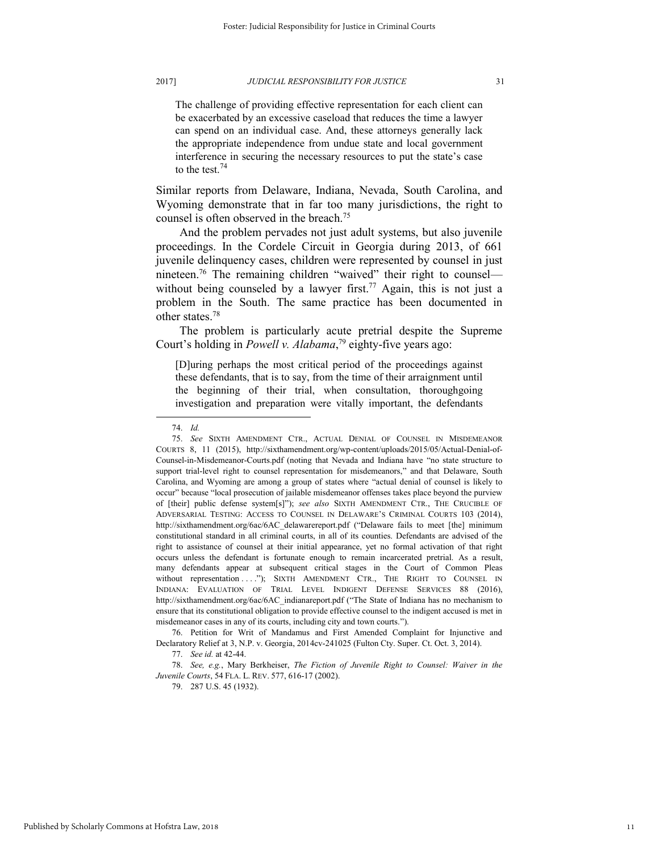The challenge of providing effective representation for each client can be exacerbated by an excessive caseload that reduces the time a lawyer can spend on an individual case. And, these attorneys generally lack the appropriate independence from undue state and local government interference in securing the necessary resources to put the state's case to the test.<sup>74</sup>

Similar reports from Delaware, Indiana, Nevada, South Carolina, and Wyoming demonstrate that in far too many jurisdictions, the right to counsel is often observed in the breach.<sup>75</sup>

And the problem pervades not just adult systems, but also juvenile proceedings. In the Cordele Circuit in Georgia during 2013, of 661 juvenile delinquency cases, children were represented by counsel in just nineteen.<sup>76</sup> The remaining children "waived" their right to counsel without being counseled by a lawyer first.<sup>77</sup> Again, this is not just a problem in the South. The same practice has been documented in other states.<sup>78</sup>

The problem is particularly acute pretrial despite the Supreme Court's holding in *Powell v. Alabama*, <sup>79</sup> eighty-five years ago:

[D]uring perhaps the most critical period of the proceedings against these defendants, that is to say, from the time of their arraignment until the beginning of their trial, when consultation, thoroughgoing investigation and preparation were vitally important, the defendants

l

76. Petition for Writ of Mandamus and First Amended Complaint for Injunctive and Declaratory Relief at 3, N.P. v. Georgia, 2014cv-241025 (Fulton Cty. Super. Ct. Oct. 3, 2014).

77. *See id.* at 42-44.

78. *See, e.g.*, Mary Berkheiser, *The Fiction of Juvenile Right to Counsel: Waiver in the Juvenile Courts*, 54 FLA. L. REV. 577, 616-17 (2002).

79. 287 U.S. 45 (1932).

<sup>74.</sup> *Id.*

<sup>75.</sup> *See* SIXTH AMENDMENT CTR., ACTUAL DENIAL OF COUNSEL IN MISDEMEANOR COURTS 8, 11 (2015), http://sixthamendment.org/wp-content/uploads/2015/05/Actual-Denial-of-Counsel-in-Misdemeanor-Courts.pdf (noting that Nevada and Indiana have "no state structure to support trial-level right to counsel representation for misdemeanors," and that Delaware, South Carolina, and Wyoming are among a group of states where "actual denial of counsel is likely to occur" because "local prosecution of jailable misdemeanor offenses takes place beyond the purview of [their] public defense system[s]"); *see also* SIXTH AMENDMENT CTR., THE CRUCIBLE OF ADVERSARIAL TESTING: ACCESS TO COUNSEL IN DELAWARE'S CRIMINAL COURTS 103 (2014), http://sixthamendment.org/6ac/6AC\_delawarereport.pdf ("Delaware fails to meet [the] minimum constitutional standard in all criminal courts, in all of its counties. Defendants are advised of the right to assistance of counsel at their initial appearance, yet no formal activation of that right occurs unless the defendant is fortunate enough to remain incarcerated pretrial. As a result, many defendants appear at subsequent critical stages in the Court of Common Pleas without representation . . . "); SIXTH AMENDMENT CTR., THE RIGHT TO COUNSEL IN INDIANA: EVALUATION OF TRIAL LEVEL INDIGENT DEFENSE SERVICES 88 (2016), http://sixthamendment.org/6ac/6AC\_indianareport.pdf ("The State of Indiana has no mechanism to ensure that its constitutional obligation to provide effective counsel to the indigent accused is met in misdemeanor cases in any of its courts, including city and town courts.").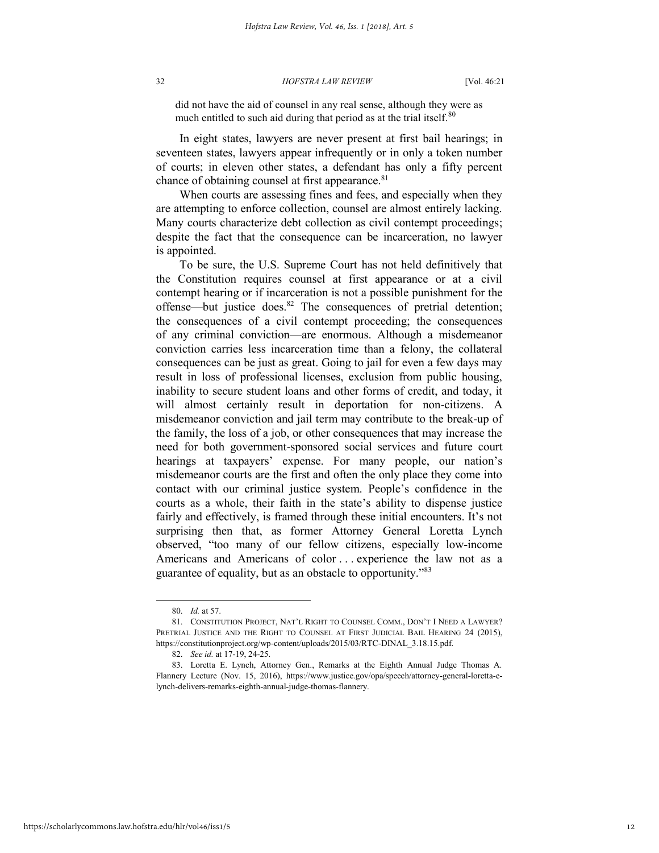did not have the aid of counsel in any real sense, although they were as much entitled to such aid during that period as at the trial itself.<sup>80</sup>

In eight states, lawyers are never present at first bail hearings; in seventeen states, lawyers appear infrequently or in only a token number of courts; in eleven other states, a defendant has only a fifty percent chance of obtaining counsel at first appearance.<sup>81</sup>

When courts are assessing fines and fees, and especially when they are attempting to enforce collection, counsel are almost entirely lacking. Many courts characterize debt collection as civil contempt proceedings; despite the fact that the consequence can be incarceration, no lawyer is appointed.

To be sure, the U.S. Supreme Court has not held definitively that the Constitution requires counsel at first appearance or at a civil contempt hearing or if incarceration is not a possible punishment for the offense—but justice does.<sup>82</sup> The consequences of pretrial detention; the consequences of a civil contempt proceeding; the consequences of any criminal conviction—are enormous. Although a misdemeanor conviction carries less incarceration time than a felony, the collateral consequences can be just as great. Going to jail for even a few days may result in loss of professional licenses, exclusion from public housing, inability to secure student loans and other forms of credit, and today, it will almost certainly result in deportation for non-citizens. A misdemeanor conviction and jail term may contribute to the break-up of the family, the loss of a job, or other consequences that may increase the need for both government-sponsored social services and future court hearings at taxpayers' expense. For many people, our nation's misdemeanor courts are the first and often the only place they come into contact with our criminal justice system. People's confidence in the courts as a whole, their faith in the state's ability to dispense justice fairly and effectively, is framed through these initial encounters. It's not surprising then that, as former Attorney General Loretta Lynch observed, "too many of our fellow citizens, especially low-income Americans and Americans of color ... experience the law not as a guarantee of equality, but as an obstacle to opportunity."<sup>83</sup>

<sup>80.</sup> *Id.* at 57.

<sup>81.</sup> CONSTITUTION PROJECT, NAT'L RIGHT TO COUNSEL COMM., DON'T I NEED A LAWYER? PRETRIAL JUSTICE AND THE RIGHT TO COUNSEL AT FIRST JUDICIAL BAIL HEARING 24 (2015), https://constitutionproject.org/wp-content/uploads/2015/03/RTC-DINAL\_3.18.15.pdf.

<sup>82.</sup> *See id.* at 17-19, 24-25.

<sup>83.</sup> Loretta E. Lynch, Attorney Gen., Remarks at the Eighth Annual Judge Thomas A. Flannery Lecture (Nov. 15, 2016), https://www.justice.gov/opa/speech/attorney-general-loretta-elynch-delivers-remarks-eighth-annual-judge-thomas-flannery.